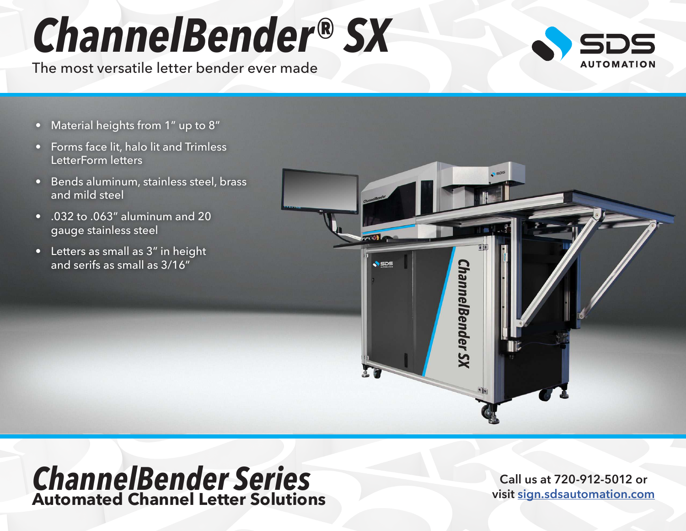## *ChannelBender® SX*

The most versatile letter bender ever made



- Material heights from 1" up to 8"
- Forms face lit, halo lit and Trimless LetterForm letters
- Bends aluminum, stainless steel, brass and mild steel
- .032 to .063" aluminum and 20 gauge stainless steel
- Letters as small as 3" in height and serifs as small as 3/16"



## *ChannelBender Series* **Automated Channel Letter Solutions**

**Call us at 720-912-5012 or visit [sign.sdsautomation.com](https://sign.sdsautomation.com/?utm_source=PDF+Spec+Sheets&utm_medium=PDF&utm_campaign=Literature)**